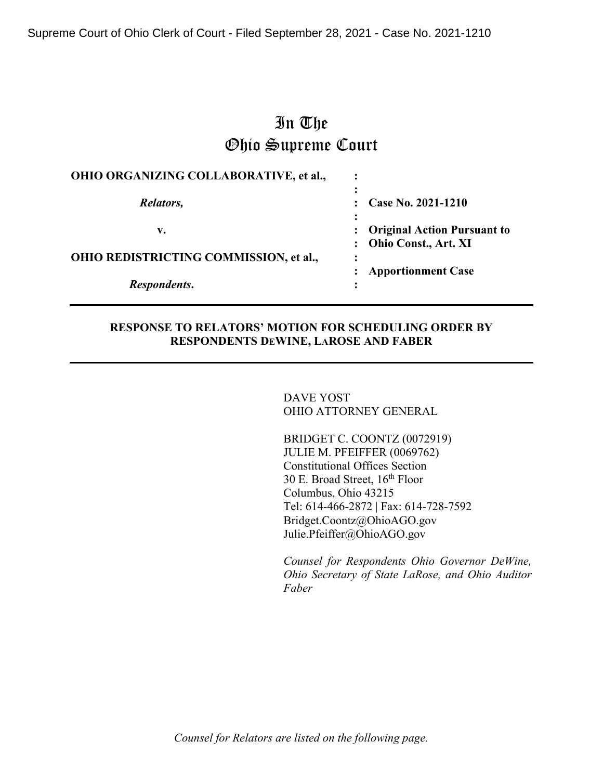Supreme Court of Ohio Clerk of Court - Filed September 28, 2021 - Case No. 2021-1210

# In The Ohio Supreme Court

| OHIO ORGANIZING COLLABORATIVE, et al., | ٠ |                                                            |
|----------------------------------------|---|------------------------------------------------------------|
| Relators,                              |   | Case No. 2021-1210                                         |
| v.                                     |   | <b>Original Action Pursuant to</b><br>Ohio Const., Art. XI |
| OHIO REDISTRICTING COMMISSION, et al., |   | <b>Apportionment Case</b>                                  |
| Respondents.                           |   |                                                            |

#### **RESPONSE TO RELATORS' MOTION FOR SCHEDULING ORDER BY RESPONDENTS DEWINE, LAROSE AND FABER**

DAVE YOST OHIO ATTORNEY GENERAL

BRIDGET C. COONTZ (0072919) JULIE M. PFEIFFER (0069762) Constitutional Offices Section 30 E. Broad Street,  $16^{th}$  Floor Columbus, Ohio 43215 Tel: 614-466-2872 | Fax: 614-728-7592 Bridget.Coontz@OhioAGO.gov Julie.Pfeiffer@OhioAGO.gov

*Counsel for Respondents Ohio Governor DeWine, Ohio Secretary of State LaRose, and Ohio Auditor Faber*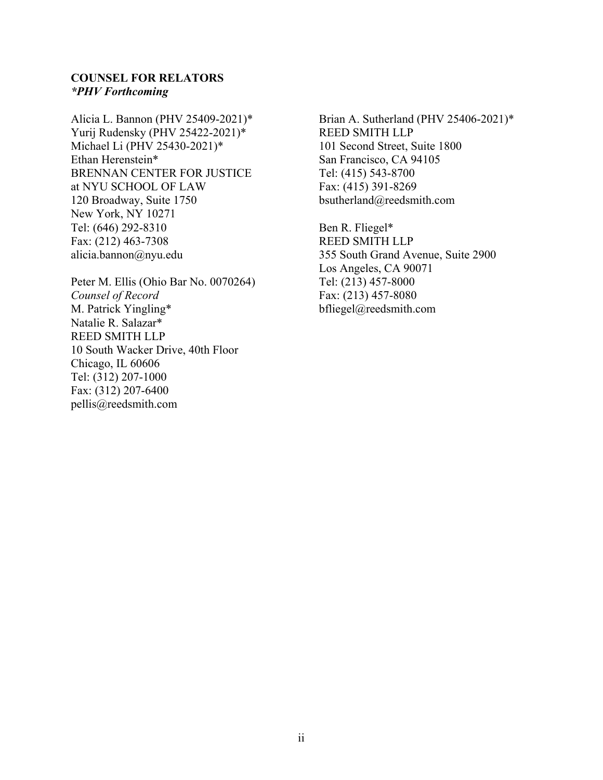### **COUNSEL FOR RELATORS** *\*PHV Forthcoming*

Alicia L. Bannon (PHV 25409-2021)\* Yurij Rudensky (PHV 25422-2021)\* Michael Li (PHV 25430-2021)\* Ethan Herenstein\* BRENNAN CENTER FOR JUSTICE at NYU SCHOOL OF LAW 120 Broadway, Suite 1750 New York, NY 10271 Tel: (646) 292-8310 Fax: (212) 463-7308 alicia.bannon@nyu.edu

Peter M. Ellis (Ohio Bar No. 0070264) *Counsel of Record* M. Patrick Yingling\* Natalie R. Salazar\* REED SMITH LLP 10 South Wacker Drive, 40th Floor Chicago, IL 60606 Tel: (312) 207-1000 Fax: (312) 207-6400 pellis@reedsmith.com

Brian A. Sutherland (PHV 25406-2021)\* REED SMITH LLP 101 Second Street, Suite 1800 San Francisco, CA 94105 Tel: (415) 543-8700 Fax: (415) 391-8269 bsutherland@reedsmith.com

Ben R. Fliegel\* REED SMITH LLP 355 South Grand Avenue, Suite 2900 Los Angeles, CA 90071 Tel: (213) 457-8000 Fax: (213) 457-8080 bfliegel@reedsmith.com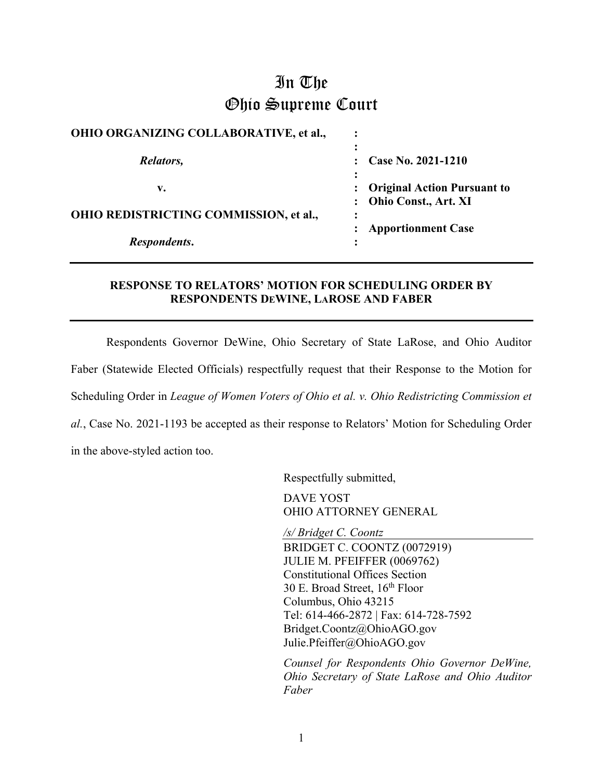# In The Ohio Supreme Court

| <b>OHIO ORGANIZING COLLABORATIVE, et al.,</b> |                                                         |
|-----------------------------------------------|---------------------------------------------------------|
| Relators,                                     | Case No. 2021-1210                                      |
| v.                                            | : Original Action Pursuant to<br>: Ohio Const., Art. XI |
| OHIO REDISTRICTING COMMISSION, et al.,        | :                                                       |
| Respondents.                                  | <b>Apportionment Case</b>                               |

## **RESPONSE TO RELATORS' MOTION FOR SCHEDULING ORDER BY RESPONDENTS DEWINE, LAROSE AND FABER**

Respondents Governor DeWine, Ohio Secretary of State LaRose, and Ohio Auditor Faber (Statewide Elected Officials) respectfully request that their Response to the Motion for Scheduling Order in *League of Women Voters of Ohio et al. v. Ohio Redistricting Commission et al.*, Case No. 2021-1193 be accepted as their response to Relators' Motion for Scheduling Order in the above-styled action too.

Respectfully submitted,

DAVE YOST OHIO ATTORNEY GENERAL

*/s/ Bridget C. Coontz* BRIDGET C. COONTZ (0072919) JULIE M. PFEIFFER (0069762) Constitutional Offices Section 30 E. Broad Street, 16th Floor Columbus, Ohio 43215 Tel: 614-466-2872 | Fax: 614-728-7592 Bridget.Coontz@OhioAGO.gov Julie.Pfeiffer@OhioAGO.gov

*Counsel for Respondents Ohio Governor DeWine, Ohio Secretary of State LaRose and Ohio Auditor Faber*